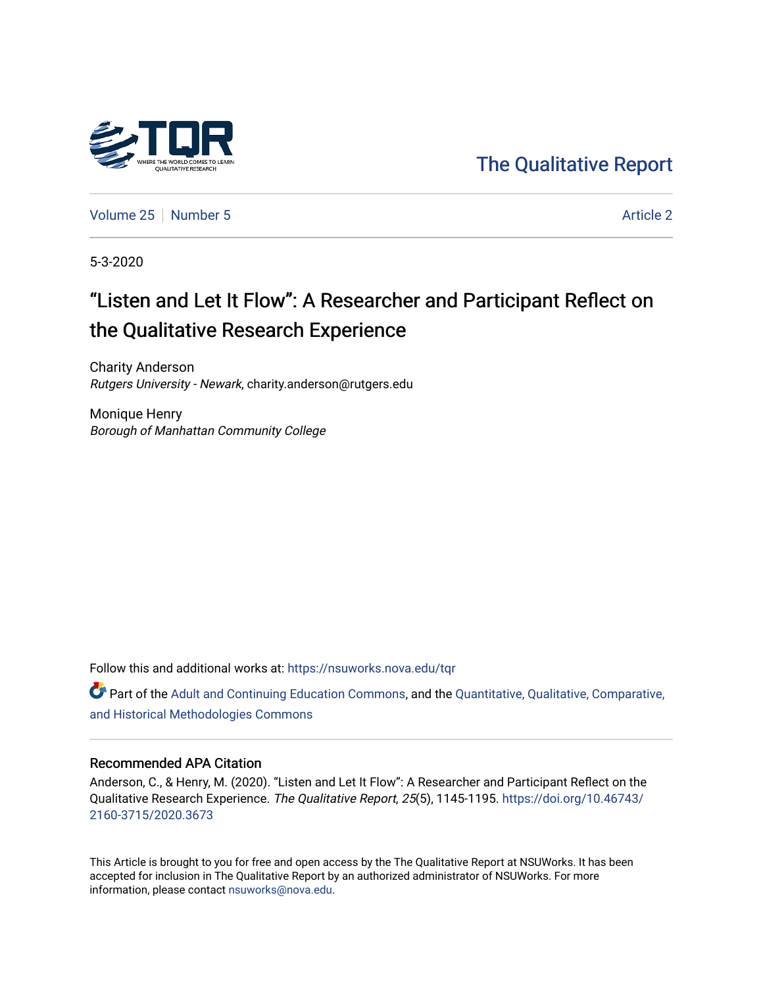

[The Qualitative Report](https://nsuworks.nova.edu/tqr) 

[Volume 25](https://nsuworks.nova.edu/tqr/vol25) [Number 5](https://nsuworks.nova.edu/tqr/vol25/iss5) Article 2

5-3-2020

# "Listen and Let It Flow": A Researcher and Participant Reflect on the Qualitative Research Experience

Charity Anderson Rutgers University - Newark, charity.anderson@rutgers.edu

Monique Henry Borough of Manhattan Community College

Follow this and additional works at: [https://nsuworks.nova.edu/tqr](https://nsuworks.nova.edu/tqr?utm_source=nsuworks.nova.edu%2Ftqr%2Fvol25%2Fiss5%2F2&utm_medium=PDF&utm_campaign=PDFCoverPages) 

 $\bullet$  Part of the [Adult and Continuing Education Commons,](http://network.bepress.com/hgg/discipline/1375?utm_source=nsuworks.nova.edu%2Ftqr%2Fvol25%2Fiss5%2F2&utm_medium=PDF&utm_campaign=PDFCoverPages) and the Quantitative, Qualitative, Comparative, [and Historical Methodologies Commons](http://network.bepress.com/hgg/discipline/423?utm_source=nsuworks.nova.edu%2Ftqr%2Fvol25%2Fiss5%2F2&utm_medium=PDF&utm_campaign=PDFCoverPages)

### Recommended APA Citation

Anderson, C., & Henry, M. (2020). "Listen and Let It Flow": A Researcher and Participant Reflect on the Qualitative Research Experience. The Qualitative Report, 25(5), 1145-1195. [https://doi.org/10.46743/](https://doi.org/10.46743/2160-3715/2020.3673) [2160-3715/2020.3673](https://doi.org/10.46743/2160-3715/2020.3673)

This Article is brought to you for free and open access by the The Qualitative Report at NSUWorks. It has been accepted for inclusion in The Qualitative Report by an authorized administrator of NSUWorks. For more information, please contact [nsuworks@nova.edu.](mailto:nsuworks@nova.edu)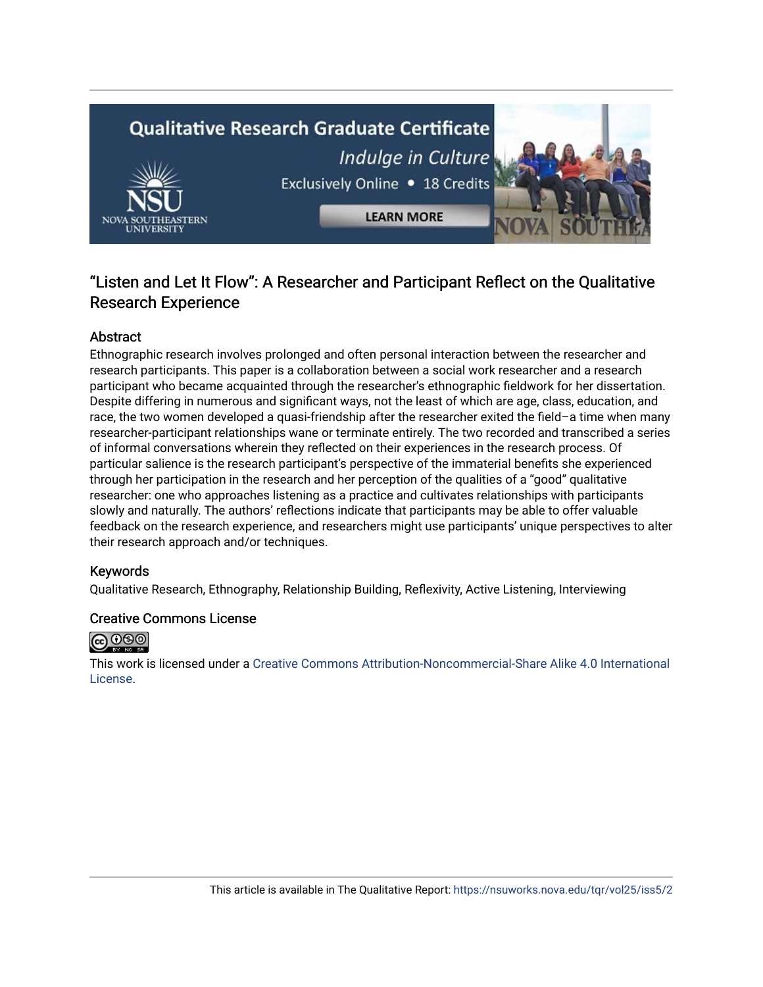# **Qualitative Research Graduate Certificate** Indulge in Culture Exclusively Online . 18 Credits **LEARN MORE**

# "Listen and Let It Flow": A Researcher and Participant Reflect on the Qualitative Research Experience

# Abstract

Ethnographic research involves prolonged and often personal interaction between the researcher and research participants. This paper is a collaboration between a social work researcher and a research participant who became acquainted through the researcher's ethnographic fieldwork for her dissertation. Despite differing in numerous and significant ways, not the least of which are age, class, education, and race, the two women developed a quasi-friendship after the researcher exited the field–a time when many researcher-participant relationships wane or terminate entirely. The two recorded and transcribed a series of informal conversations wherein they reflected on their experiences in the research process. Of particular salience is the research participant's perspective of the immaterial benefits she experienced through her participation in the research and her perception of the qualities of a "good" qualitative researcher: one who approaches listening as a practice and cultivates relationships with participants slowly and naturally. The authors' reflections indicate that participants may be able to offer valuable feedback on the research experience, and researchers might use participants' unique perspectives to alter their research approach and/or techniques.

# Keywords

Qualitative Research, Ethnography, Relationship Building, Reflexivity, Active Listening, Interviewing

### Creative Commons License



This work is licensed under a [Creative Commons Attribution-Noncommercial-Share Alike 4.0 International](https://creativecommons.org/licenses/by-nc-sa/4.0/)  [License](https://creativecommons.org/licenses/by-nc-sa/4.0/).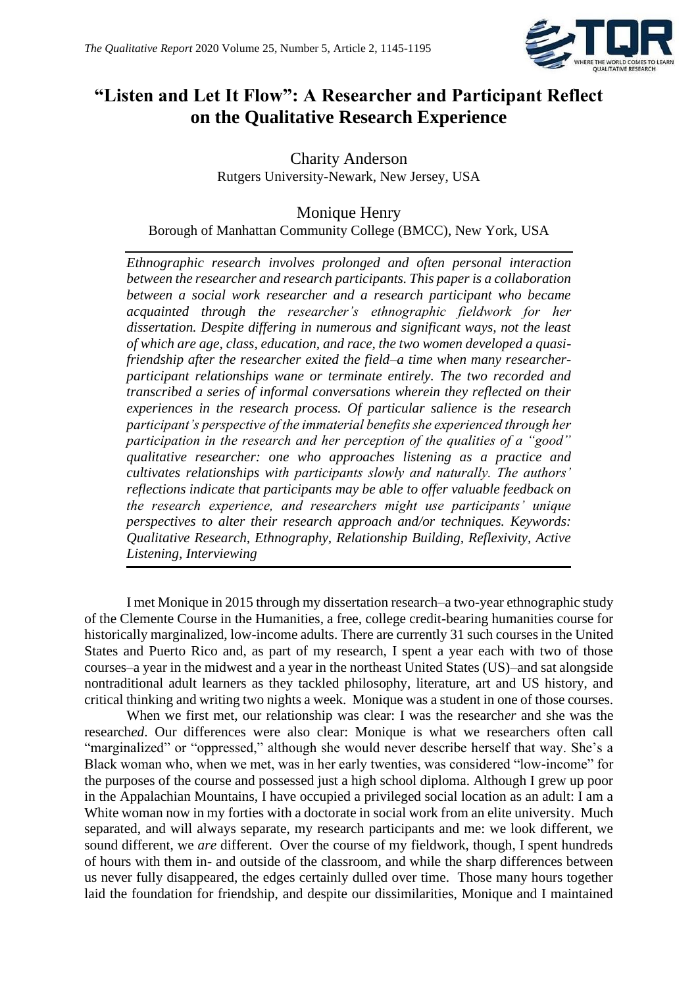

# **"Listen and Let It Flow": A Researcher and Participant Reflect on the Qualitative Research Experience**

Charity Anderson Rutgers University-Newark, New Jersey, USA

# Monique Henry Borough of Manhattan Community College (BMCC), New York, USA

*Ethnographic research involves prolonged and often personal interaction between the researcher and research participants. This paper is a collaboration between a social work researcher and a research participant who became acquainted through the researcher's ethnographic fieldwork for her dissertation. Despite differing in numerous and significant ways, not the least of which are age, class, education, and race, the two women developed a quasifriendship after the researcher exited the field–a time when many researcherparticipant relationships wane or terminate entirely. The two recorded and transcribed a series of informal conversations wherein they reflected on their experiences in the research process. Of particular salience is the research participant's perspective of the immaterial benefits she experienced through her participation in the research and her perception of the qualities of a "good" qualitative researcher: one who approaches listening as a practice and cultivates relationships with participants slowly and naturally. The authors' reflections indicate that participants may be able to offer valuable feedback on the research experience, and researchers might use participants' unique perspectives to alter their research approach and/or techniques. Keywords: Qualitative Research, Ethnography, Relationship Building, Reflexivity, Active Listening, Interviewing*

I met Monique in 2015 through my dissertation research–a two-year ethnographic study of the Clemente Course in the Humanities, a free, college credit-bearing humanities course for historically marginalized, low-income adults. There are currently 31 such courses in the United States and Puerto Rico and, as part of my research, I spent a year each with two of those courses–a year in the midwest and a year in the northeast United States (US)–and sat alongside nontraditional adult learners as they tackled philosophy, literature, art and US history, and critical thinking and writing two nights a week. Monique was a student in one of those courses.

When we first met, our relationship was clear: I was the research*er* and she was the research*ed*. Our differences were also clear: Monique is what we researchers often call "marginalized" or "oppressed," although she would never describe herself that way. She's a Black woman who, when we met, was in her early twenties, was considered "low-income" for the purposes of the course and possessed just a high school diploma. Although I grew up poor in the Appalachian Mountains, I have occupied a privileged social location as an adult: I am a White woman now in my forties with a doctorate in social work from an elite university. Much separated, and will always separate, my research participants and me: we look different, we sound different, we *are* different. Over the course of my fieldwork, though, I spent hundreds of hours with them in- and outside of the classroom, and while the sharp differences between us never fully disappeared, the edges certainly dulled over time. Those many hours together laid the foundation for friendship, and despite our dissimilarities, Monique and I maintained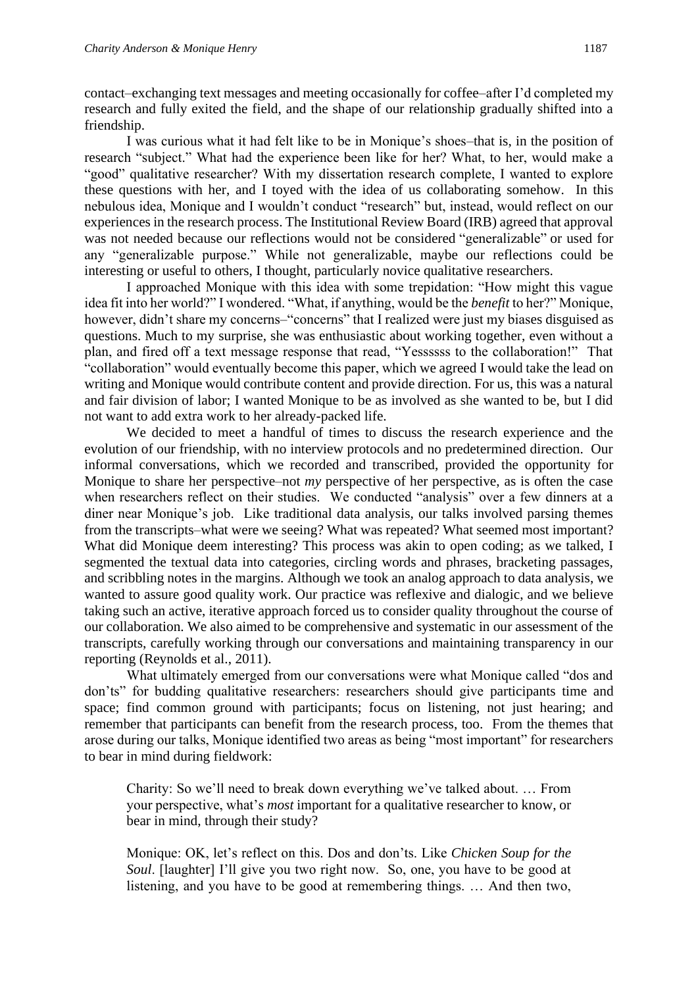contact–exchanging text messages and meeting occasionally for coffee–after I'd completed my research and fully exited the field, and the shape of our relationship gradually shifted into a friendship.

I was curious what it had felt like to be in Monique's shoes–that is, in the position of research "subject." What had the experience been like for her? What, to her, would make a "good" qualitative researcher? With my dissertation research complete, I wanted to explore these questions with her, and I toyed with the idea of us collaborating somehow. In this nebulous idea, Monique and I wouldn't conduct "research" but, instead, would reflect on our experiences in the research process. The Institutional Review Board (IRB) agreed that approval was not needed because our reflections would not be considered "generalizable" or used for any "generalizable purpose." While not generalizable, maybe our reflections could be interesting or useful to others, I thought, particularly novice qualitative researchers.

I approached Monique with this idea with some trepidation: "How might this vague idea fit into her world?" I wondered. "What, if anything, would be the *benefit* to her?" Monique, however, didn't share my concerns–"concerns" that I realized were just my biases disguised as questions. Much to my surprise, she was enthusiastic about working together, even without a plan, and fired off a text message response that read, "Yessssss to the collaboration!" That "collaboration" would eventually become this paper, which we agreed I would take the lead on writing and Monique would contribute content and provide direction. For us, this was a natural and fair division of labor; I wanted Monique to be as involved as she wanted to be, but I did not want to add extra work to her already-packed life.

We decided to meet a handful of times to discuss the research experience and the evolution of our friendship, with no interview protocols and no predetermined direction. Our informal conversations, which we recorded and transcribed, provided the opportunity for Monique to share her perspective–not *my* perspective of her perspective, as is often the case when researchers reflect on their studies. We conducted "analysis" over a few dinners at a diner near Monique's job. Like traditional data analysis, our talks involved parsing themes from the transcripts–what were we seeing? What was repeated? What seemed most important? What did Monique deem interesting? This process was akin to open coding; as we talked, I segmented the textual data into categories, circling words and phrases, bracketing passages, and scribbling notes in the margins. Although we took an analog approach to data analysis, we wanted to assure good quality work. Our practice was reflexive and dialogic, and we believe taking such an active, iterative approach forced us to consider quality throughout the course of our collaboration. We also aimed to be comprehensive and systematic in our assessment of the transcripts, carefully working through our conversations and maintaining transparency in our reporting (Reynolds et al., 2011).

What ultimately emerged from our conversations were what Monique called "dos and don'ts" for budding qualitative researchers: researchers should give participants time and space; find common ground with participants; focus on listening, not just hearing; and remember that participants can benefit from the research process, too. From the themes that arose during our talks, Monique identified two areas as being "most important" for researchers to bear in mind during fieldwork:

Charity: So we'll need to break down everything we've talked about. … From your perspective, what's *most* important for a qualitative researcher to know, or bear in mind, through their study?

Monique: OK, let's reflect on this. Dos and don'ts. Like *Chicken Soup for the Soul*. [laughter] I'll give you two right now. So, one, you have to be good at listening, and you have to be good at remembering things. … And then two,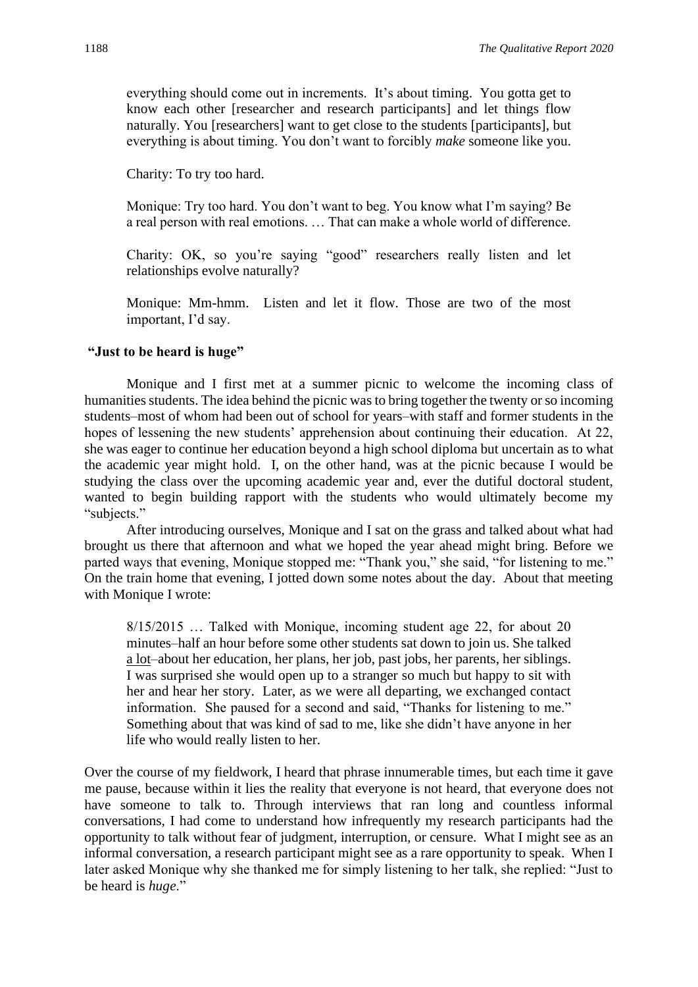everything should come out in increments. It's about timing. You gotta get to know each other [researcher and research participants] and let things flow naturally. You [researchers] want to get close to the students [participants], but everything is about timing. You don't want to forcibly *make* someone like you.

Charity: To try too hard.

Monique: Try too hard. You don't want to beg. You know what I'm saying? Be a real person with real emotions. … That can make a whole world of difference.

Charity: OK, so you're saying "good" researchers really listen and let relationships evolve naturally?

Monique: Mm-hmm. Listen and let it flow. Those are two of the most important, I'd say.

## **"Just to be heard is huge"**

Monique and I first met at a summer picnic to welcome the incoming class of humanities students. The idea behind the picnic was to bring together the twenty or so incoming students–most of whom had been out of school for years–with staff and former students in the hopes of lessening the new students' apprehension about continuing their education. At 22, she was eager to continue her education beyond a high school diploma but uncertain as to what the academic year might hold. I, on the other hand, was at the picnic because I would be studying the class over the upcoming academic year and, ever the dutiful doctoral student, wanted to begin building rapport with the students who would ultimately become my "subjects."

After introducing ourselves, Monique and I sat on the grass and talked about what had brought us there that afternoon and what we hoped the year ahead might bring. Before we parted ways that evening, Monique stopped me: "Thank you," she said, "for listening to me." On the train home that evening, I jotted down some notes about the day. About that meeting with Monique I wrote:

8/15/2015 … Talked with Monique, incoming student age 22, for about 20 minutes–half an hour before some other students sat down to join us. She talked a lot–about her education, her plans, her job, past jobs, her parents, her siblings. I was surprised she would open up to a stranger so much but happy to sit with her and hear her story. Later, as we were all departing, we exchanged contact information. She paused for a second and said, "Thanks for listening to me." Something about that was kind of sad to me, like she didn't have anyone in her life who would really listen to her.

Over the course of my fieldwork, I heard that phrase innumerable times, but each time it gave me pause, because within it lies the reality that everyone is not heard, that everyone does not have someone to talk to. Through interviews that ran long and countless informal conversations, I had come to understand how infrequently my research participants had the opportunity to talk without fear of judgment, interruption, or censure. What I might see as an informal conversation, a research participant might see as a rare opportunity to speak. When I later asked Monique why she thanked me for simply listening to her talk, she replied: "Just to be heard is *huge*."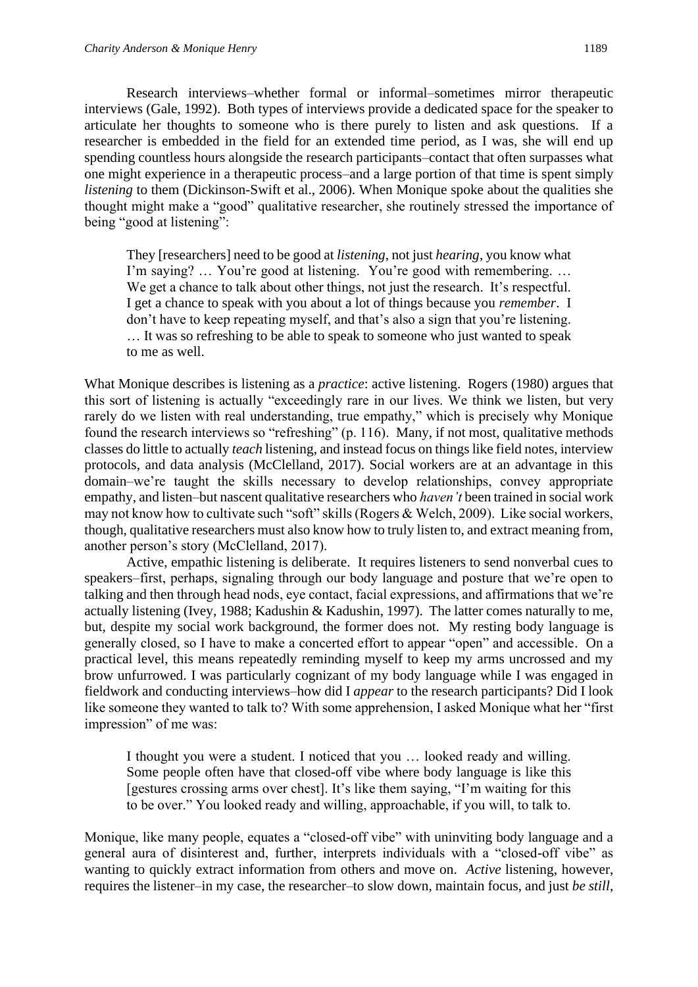Research interviews–whether formal or informal–sometimes mirror therapeutic interviews (Gale, 1992). Both types of interviews provide a dedicated space for the speaker to articulate her thoughts to someone who is there purely to listen and ask questions. If a researcher is embedded in the field for an extended time period, as I was, she will end up spending countless hours alongside the research participants–contact that often surpasses what one might experience in a therapeutic process–and a large portion of that time is spent simply *listening* to them (Dickinson-Swift et al., 2006). When Monique spoke about the qualities she thought might make a "good" qualitative researcher, she routinely stressed the importance of being "good at listening":

They [researchers] need to be good at *listening*, not just *hearing*, you know what I'm saying? … You're good at listening. You're good with remembering. … We get a chance to talk about other things, not just the research. It's respectful. I get a chance to speak with you about a lot of things because you *remember*. I don't have to keep repeating myself, and that's also a sign that you're listening. … It was so refreshing to be able to speak to someone who just wanted to speak to me as well.

What Monique describes is listening as a *practice*: active listening. Rogers (1980) argues that this sort of listening is actually "exceedingly rare in our lives. We think we listen, but very rarely do we listen with real understanding, true empathy," which is precisely why Monique found the research interviews so "refreshing" (p. 116). Many, if not most, qualitative methods classes do little to actually *teach* listening, and instead focus on things like field notes, interview protocols, and data analysis (McClelland, 2017). Social workers are at an advantage in this domain–we're taught the skills necessary to develop relationships, convey appropriate empathy, and listen–but nascent qualitative researchers who *haven't* been trained in social work may not know how to cultivate such "soft" skills (Rogers & Welch, 2009). Like social workers, though, qualitative researchers must also know how to truly listen to, and extract meaning from, another person's story (McClelland, 2017).

Active, empathic listening is deliberate. It requires listeners to send nonverbal cues to speakers–first, perhaps, signaling through our body language and posture that we're open to talking and then through head nods, eye contact, facial expressions, and affirmations that we're actually listening (Ivey, 1988; Kadushin & Kadushin, 1997). The latter comes naturally to me, but, despite my social work background, the former does not. My resting body language is generally closed, so I have to make a concerted effort to appear "open" and accessible. On a practical level, this means repeatedly reminding myself to keep my arms uncrossed and my brow unfurrowed. I was particularly cognizant of my body language while I was engaged in fieldwork and conducting interviews–how did I *appear* to the research participants? Did I look like someone they wanted to talk to? With some apprehension, I asked Monique what her "first impression" of me was:

I thought you were a student. I noticed that you … looked ready and willing. Some people often have that closed-off vibe where body language is like this [gestures crossing arms over chest]. It's like them saying, "I'm waiting for this to be over." You looked ready and willing, approachable, if you will, to talk to.

Monique, like many people, equates a "closed-off vibe" with uninviting body language and a general aura of disinterest and, further, interprets individuals with a "closed-off vibe" as wanting to quickly extract information from others and move on. *Active* listening, however, requires the listener–in my case, the researcher–to slow down, maintain focus, and just *be still*,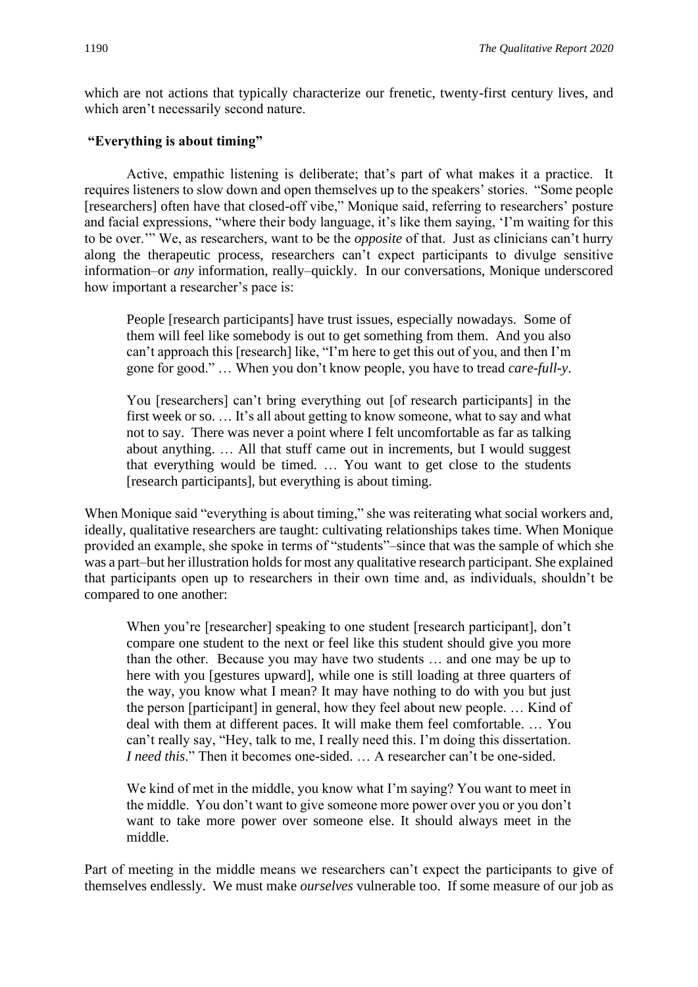which are not actions that typically characterize our frenetic, twenty-first century lives, and which aren't necessarily second nature.

# **"Everything is about timing"**

Active, empathic listening is deliberate; that's part of what makes it a practice. It requires listeners to slow down and open themselves up to the speakers' stories. "Some people [researchers] often have that closed-off vibe," Monique said, referring to researchers' posture and facial expressions, "where their body language, it's like them saying, 'I'm waiting for this to be over.'" We, as researchers, want to be the *opposite* of that. Just as clinicians can't hurry along the therapeutic process, researchers can't expect participants to divulge sensitive information–or *any* information, really–quickly. In our conversations, Monique underscored how important a researcher's pace is:

People [research participants] have trust issues, especially nowadays. Some of them will feel like somebody is out to get something from them. And you also can't approach this [research] like, "I'm here to get this out of you, and then I'm gone for good." … When you don't know people, you have to tread *care-full-y*.

You [researchers] can't bring everything out [of research participants] in the first week or so. … It's all about getting to know someone, what to say and what not to say. There was never a point where I felt uncomfortable as far as talking about anything. … All that stuff came out in increments, but I would suggest that everything would be timed. … You want to get close to the students [research participants], but everything is about timing.

When Monique said "everything is about timing," she was reiterating what social workers and, ideally, qualitative researchers are taught: cultivating relationships takes time. When Monique provided an example, she spoke in terms of "students"–since that was the sample of which she was a part–but her illustration holds for most any qualitative research participant. She explained that participants open up to researchers in their own time and, as individuals, shouldn't be compared to one another:

When you're [researcher] speaking to one student [research participant], don't compare one student to the next or feel like this student should give you more than the other. Because you may have two students … and one may be up to here with you [gestures upward], while one is still loading at three quarters of the way, you know what I mean? It may have nothing to do with you but just the person [participant] in general, how they feel about new people. … Kind of deal with them at different paces. It will make them feel comfortable. … You can't really say, "Hey, talk to me, I really need this. I'm doing this dissertation. *I* need this." Then it becomes one-sided. ... A researcher can't be one-sided.

We kind of met in the middle, you know what I'm saying? You want to meet in the middle. You don't want to give someone more power over you or you don't want to take more power over someone else. It should always meet in the middle.

Part of meeting in the middle means we researchers can't expect the participants to give of themselves endlessly. We must make *ourselves* vulnerable too. If some measure of our job as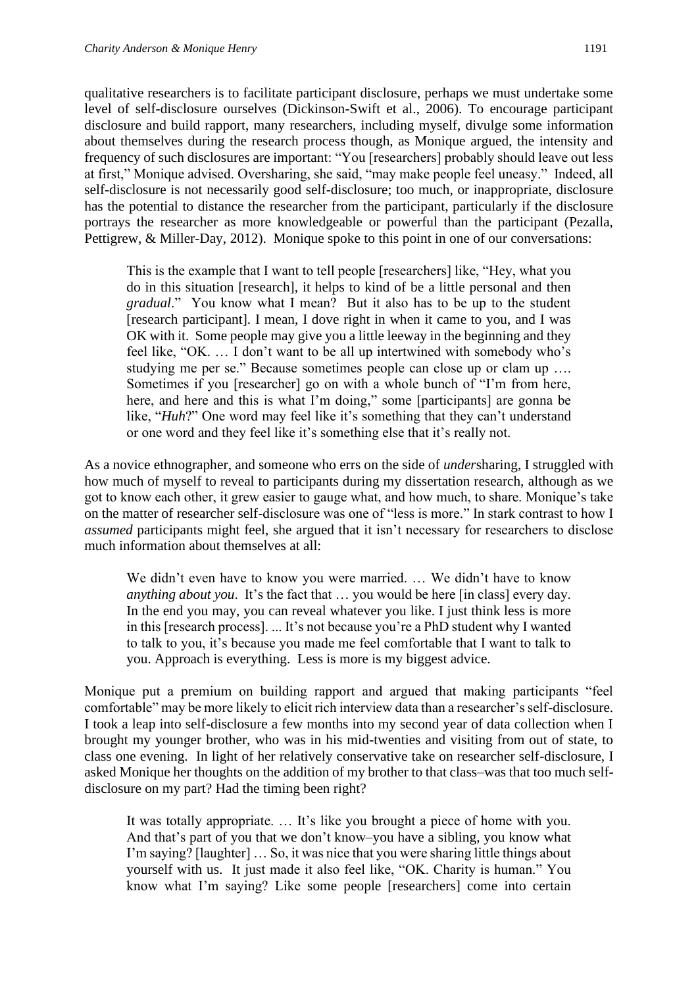qualitative researchers is to facilitate participant disclosure, perhaps we must undertake some level of self-disclosure ourselves (Dickinson-Swift et al., 2006). To encourage participant disclosure and build rapport, many researchers, including myself, divulge some information about themselves during the research process though, as Monique argued, the intensity and frequency of such disclosures are important: "You [researchers] probably should leave out less at first," Monique advised. Oversharing, she said, "may make people feel uneasy." Indeed, all self-disclosure is not necessarily good self-disclosure; too much, or inappropriate, disclosure has the potential to distance the researcher from the participant, particularly if the disclosure portrays the researcher as more knowledgeable or powerful than the participant (Pezalla, Pettigrew, & Miller-Day, 2012). Monique spoke to this point in one of our conversations:

This is the example that I want to tell people [researchers] like, "Hey, what you do in this situation [research], it helps to kind of be a little personal and then *gradual*." You know what I mean? But it also has to be up to the student [research participant]. I mean, I dove right in when it came to you, and I was OK with it. Some people may give you a little leeway in the beginning and they feel like, "OK. … I don't want to be all up intertwined with somebody who's studying me per se." Because sometimes people can close up or clam up …. Sometimes if you [researcher] go on with a whole bunch of "I'm from here, here, and here and this is what I'm doing," some [participants] are gonna be like, "*Huh*?" One word may feel like it's something that they can't understand or one word and they feel like it's something else that it's really not.

As a novice ethnographer, and someone who errs on the side of *under*sharing, I struggled with how much of myself to reveal to participants during my dissertation research, although as we got to know each other, it grew easier to gauge what, and how much, to share. Monique's take on the matter of researcher self-disclosure was one of "less is more." In stark contrast to how I *assumed* participants might feel, she argued that it isn't necessary for researchers to disclose much information about themselves at all:

We didn't even have to know you were married. ... We didn't have to know *anything about you*. It's the fact that … you would be here [in class] every day. In the end you may, you can reveal whatever you like. I just think less is more in this [research process]. ... It's not because you're a PhD student why I wanted to talk to you, it's because you made me feel comfortable that I want to talk to you. Approach is everything. Less is more is my biggest advice.

Monique put a premium on building rapport and argued that making participants "feel comfortable" may be more likely to elicit rich interview data than a researcher's self-disclosure. I took a leap into self-disclosure a few months into my second year of data collection when I brought my younger brother, who was in his mid-twenties and visiting from out of state, to class one evening. In light of her relatively conservative take on researcher self-disclosure, I asked Monique her thoughts on the addition of my brother to that class–was that too much selfdisclosure on my part? Had the timing been right?

It was totally appropriate. … It's like you brought a piece of home with you. And that's part of you that we don't know–you have a sibling, you know what I'm saying? [laughter] … So, it was nice that you were sharing little things about yourself with us. It just made it also feel like, "OK. Charity is human." You know what I'm saying? Like some people [researchers] come into certain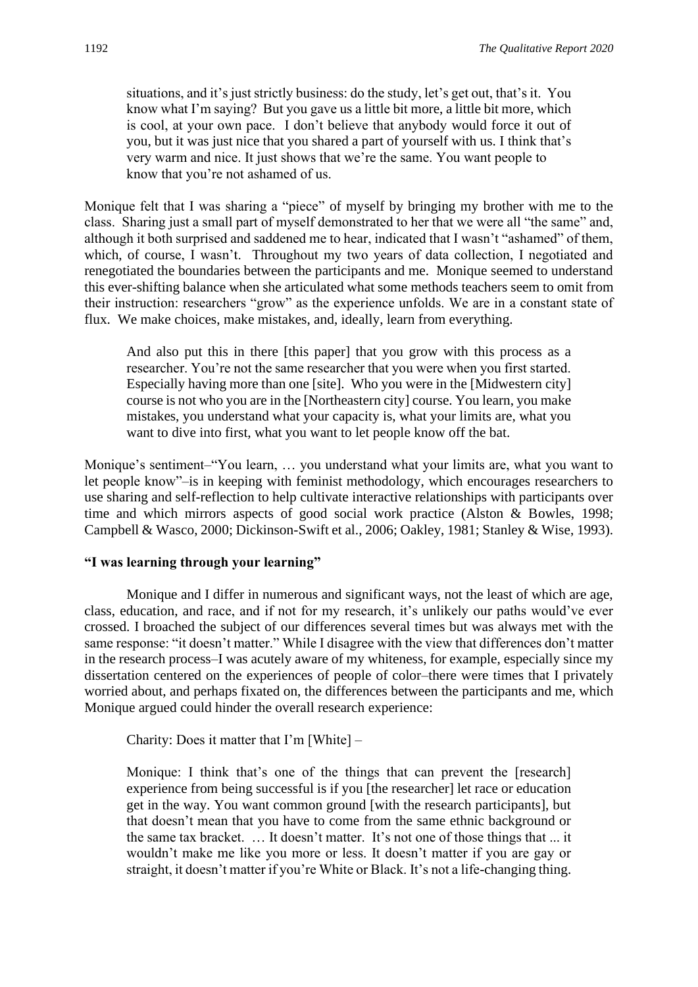situations, and it's just strictly business: do the study, let's get out, that's it. You know what I'm saying? But you gave us a little bit more, a little bit more, which is cool, at your own pace. I don't believe that anybody would force it out of you, but it was just nice that you shared a part of yourself with us. I think that's very warm and nice. It just shows that we're the same. You want people to know that you're not ashamed of us.

Monique felt that I was sharing a "piece" of myself by bringing my brother with me to the class. Sharing just a small part of myself demonstrated to her that we were all "the same" and, although it both surprised and saddened me to hear, indicated that I wasn't "ashamed" of them, which, of course, I wasn't. Throughout my two years of data collection, I negotiated and renegotiated the boundaries between the participants and me. Monique seemed to understand this ever-shifting balance when she articulated what some methods teachers seem to omit from their instruction: researchers "grow" as the experience unfolds. We are in a constant state of flux. We make choices, make mistakes, and, ideally, learn from everything.

And also put this in there [this paper] that you grow with this process as a researcher. You're not the same researcher that you were when you first started. Especially having more than one [site]. Who you were in the [Midwestern city] course is not who you are in the [Northeastern city] course. You learn, you make mistakes, you understand what your capacity is, what your limits are, what you want to dive into first, what you want to let people know off the bat.

Monique's sentiment–"You learn, … you understand what your limits are, what you want to let people know"–is in keeping with feminist methodology, which encourages researchers to use sharing and self-reflection to help cultivate interactive relationships with participants over time and which mirrors aspects of good social work practice (Alston & Bowles, 1998; Campbell & Wasco, 2000; Dickinson-Swift et al., 2006; Oakley, 1981; Stanley & Wise, 1993).

# **"I was learning through your learning"**

Monique and I differ in numerous and significant ways, not the least of which are age, class, education, and race, and if not for my research, it's unlikely our paths would've ever crossed. I broached the subject of our differences several times but was always met with the same response: "it doesn't matter." While I disagree with the view that differences don't matter in the research process–I was acutely aware of my whiteness, for example, especially since my dissertation centered on the experiences of people of color–there were times that I privately worried about, and perhaps fixated on, the differences between the participants and me, which Monique argued could hinder the overall research experience:

Charity: Does it matter that I'm [White] –

Monique: I think that's one of the things that can prevent the [research] experience from being successful is if you [the researcher] let race or education get in the way. You want common ground [with the research participants], but that doesn't mean that you have to come from the same ethnic background or the same tax bracket. … It doesn't matter. It's not one of those things that ... it wouldn't make me like you more or less. It doesn't matter if you are gay or straight, it doesn't matter if you're White or Black. It's not a life-changing thing.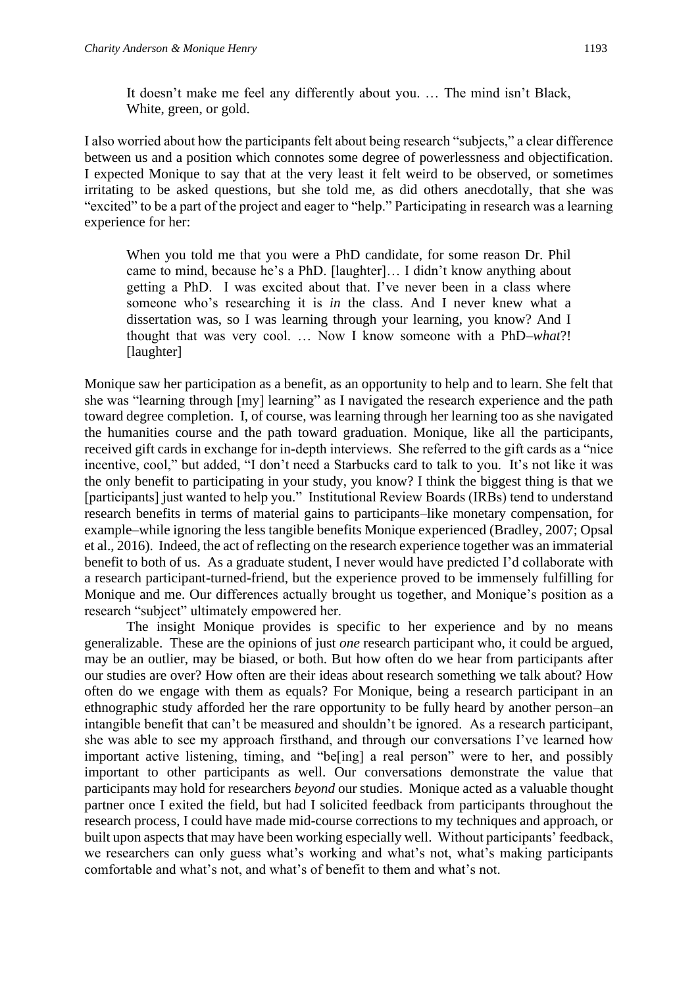It doesn't make me feel any differently about you. … The mind isn't Black, White, green, or gold.

I also worried about how the participants felt about being research "subjects," a clear difference between us and a position which connotes some degree of powerlessness and objectification. I expected Monique to say that at the very least it felt weird to be observed, or sometimes irritating to be asked questions, but she told me, as did others anecdotally, that she was "excited" to be a part of the project and eager to "help." Participating in research was a learning experience for her:

When you told me that you were a PhD candidate, for some reason Dr. Phil came to mind, because he's a PhD. [laughter]… I didn't know anything about getting a PhD. I was excited about that. I've never been in a class where someone who's researching it is *in* the class. And I never knew what a dissertation was, so I was learning through your learning, you know? And I thought that was very cool. … Now I know someone with a PhD–*what*?! [laughter]

Monique saw her participation as a benefit, as an opportunity to help and to learn. She felt that she was "learning through [my] learning" as I navigated the research experience and the path toward degree completion. I, of course, was learning through her learning too as she navigated the humanities course and the path toward graduation. Monique, like all the participants, received gift cards in exchange for in-depth interviews. She referred to the gift cards as a "nice incentive, cool," but added, "I don't need a Starbucks card to talk to you. It's not like it was the only benefit to participating in your study, you know? I think the biggest thing is that we [participants] just wanted to help you." Institutional Review Boards (IRBs) tend to understand research benefits in terms of material gains to participants–like monetary compensation, for example–while ignoring the less tangible benefits Monique experienced (Bradley, 2007; Opsal et al., 2016). Indeed, the act of reflecting on the research experience together was an immaterial benefit to both of us. As a graduate student, I never would have predicted I'd collaborate with a research participant-turned-friend, but the experience proved to be immensely fulfilling for Monique and me. Our differences actually brought us together, and Monique's position as a research "subject" ultimately empowered her.

The insight Monique provides is specific to her experience and by no means generalizable. These are the opinions of just *one* research participant who, it could be argued, may be an outlier, may be biased, or both. But how often do we hear from participants after our studies are over? How often are their ideas about research something we talk about? How often do we engage with them as equals? For Monique, being a research participant in an ethnographic study afforded her the rare opportunity to be fully heard by another person–an intangible benefit that can't be measured and shouldn't be ignored. As a research participant, she was able to see my approach firsthand, and through our conversations I've learned how important active listening, timing, and "be[ing] a real person" were to her, and possibly important to other participants as well. Our conversations demonstrate the value that participants may hold for researchers *beyond* our studies. Monique acted as a valuable thought partner once I exited the field, but had I solicited feedback from participants throughout the research process, I could have made mid-course corrections to my techniques and approach, or built upon aspects that may have been working especially well. Without participants' feedback, we researchers can only guess what's working and what's not, what's making participants comfortable and what's not, and what's of benefit to them and what's not.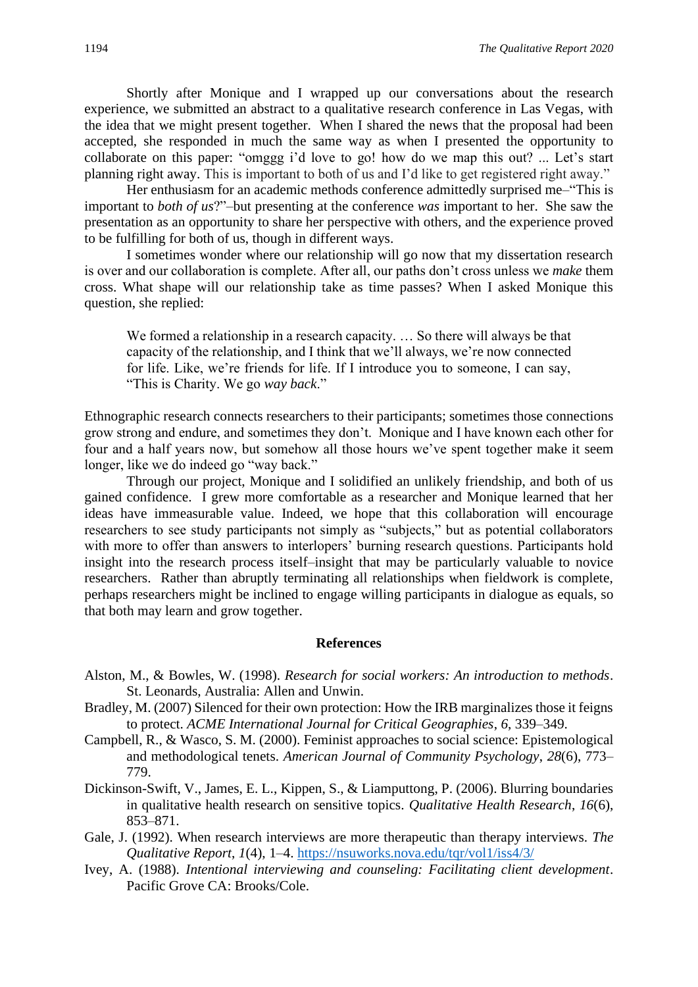Shortly after Monique and I wrapped up our conversations about the research experience, we submitted an abstract to a qualitative research conference in Las Vegas, with the idea that we might present together. When I shared the news that the proposal had been accepted, she responded in much the same way as when I presented the opportunity to collaborate on this paper: "omggg i'd love to go! how do we map this out? ... Let's start planning right away. This is important to both of us and I'd like to get registered right away."

Her enthusiasm for an academic methods conference admittedly surprised me–"This is important to *both of us*?"–but presenting at the conference *was* important to her. She saw the presentation as an opportunity to share her perspective with others, and the experience proved to be fulfilling for both of us, though in different ways.

I sometimes wonder where our relationship will go now that my dissertation research is over and our collaboration is complete. After all, our paths don't cross unless we *make* them cross. What shape will our relationship take as time passes? When I asked Monique this question, she replied:

We formed a relationship in a research capacity. ... So there will always be that capacity of the relationship, and I think that we'll always, we're now connected for life. Like, we're friends for life. If I introduce you to someone, I can say, "This is Charity. We go *way back*."

Ethnographic research connects researchers to their participants; sometimes those connections grow strong and endure, and sometimes they don't. Monique and I have known each other for four and a half years now, but somehow all those hours we've spent together make it seem longer, like we do indeed go "way back."

Through our project, Monique and I solidified an unlikely friendship, and both of us gained confidence. I grew more comfortable as a researcher and Monique learned that her ideas have immeasurable value. Indeed, we hope that this collaboration will encourage researchers to see study participants not simply as "subjects," but as potential collaborators with more to offer than answers to interlopers' burning research questions. Participants hold insight into the research process itself–insight that may be particularly valuable to novice researchers. Rather than abruptly terminating all relationships when fieldwork is complete, perhaps researchers might be inclined to engage willing participants in dialogue as equals, so that both may learn and grow together.

#### **References**

- Alston, M., & Bowles, W. (1998). *Research for social workers: An introduction to methods*. St. Leonards, Australia: Allen and Unwin.
- Bradley, M. (2007) Silenced for their own protection: How the IRB marginalizes those it feigns to protect. *ACME International Journal for Critical Geographies*, *6*, 339–349.
- Campbell, R., & Wasco, S. M. (2000). Feminist approaches to social science: Epistemological and methodological tenets. *American Journal of Community Psychology*, *28*(6), 773– 779.
- Dickinson-Swift, V., James, E. L., Kippen, S., & Liamputtong, P. (2006). Blurring boundaries in qualitative health research on sensitive topics. *Qualitative Health Research*, *16*(6), 853–871.
- Gale, J. (1992). When research interviews are more therapeutic than therapy interviews. *The Qualitative Report*, *1*(4), 1–4.<https://nsuworks.nova.edu/tqr/vol1/iss4/3/>
- Ivey, A. (1988). *Intentional interviewing and counseling: Facilitating client development*. Pacific Grove CA: Brooks/Cole.